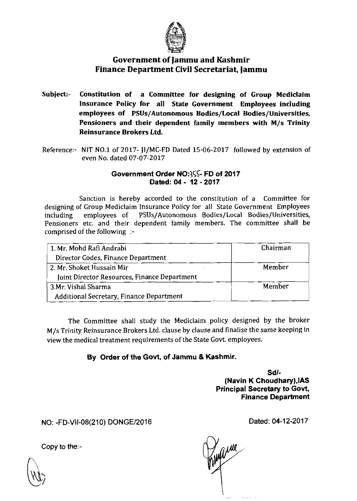

## Government of Jammu and Kashmir Finance Department Civil Secretariat, jammu

- Subject:- Constitution of a Committee for designing of Group Mediclaim Insurance Policy for all State Government Employees including employees of PSUs/Autonomous Bodies/Local Bodies/Universities, Pensioners and their dependent family members with M/s Trinity Reinsurance Brokers Ltd.
- Reference:- NIT NO.1 of 2017- JI/MC-FD Dated 15-06-2017 followed by extension of even No. dated 07-07-2017

## Government Order NO:355- FD of 2017 Dated: 04 - **12** - **2017**

Sanction is hereby accorded to the constitution of a Committee for designing of Group Mediclaim Insurance Policy for all State Government Employees including employees of PSUs/Autonomous Bodies/Local Bodies/Universities, including employees of PSUs/Autonomous Bodies/Local Bodies/Universities, Pensioners etc. and their dependent family members. The committee shall be comprised of the following :-

| 1. Mr. Mohd Rafi Andrabi                        | Chairman |
|-------------------------------------------------|----------|
| Director Codes, Finance Department              |          |
| 2. Mr. Shoket Hussain Mir                       | Member   |
| Joint Director Resources, Finance Department    |          |
| 3.Mr. Vishal Sharma                             | Member   |
| <b>Additional Secretary, Finance Department</b> |          |

The Committee shall study the Mediclaim policy designed by the broker M/s Trinity Reinsurance Brokers Ltd. clause by clause and **f** nalise the same keeping in view the medical treatment requirements of the State Govt. employees.

## **By** Order of the Govt, of Jammu 8 Kashmir.

Sdl- (Navin K Choudhary),lAS Principal Secretary to Govt, Finance Department

NO: -FD-Vll-08(210) DONGEl2016

Dated: 04-12-2017

Copy to the:-